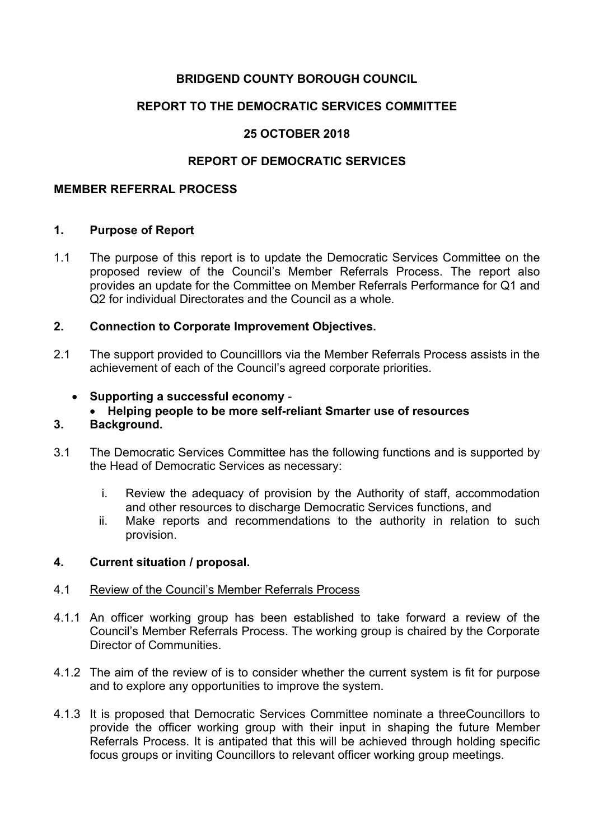# **BRIDGEND COUNTY BOROUGH COUNCIL**

# **REPORT TO THE DEMOCRATIC SERVICES COMMITTEE**

# **25 OCTOBER 2018**

## **REPORT OF DEMOCRATIC SERVICES**

### **MEMBER REFERRAL PROCESS**

### **1. Purpose of Report**

1.1 The purpose of this report is to update the Democratic Services Committee on the proposed review of the Council's Member Referrals Process. The report also provides an update for the Committee on Member Referrals Performance for Q1 and Q2 for individual Directorates and the Council as a whole.

### **2. Connection to Corporate Improvement Objectives.**

- 2.1 The support provided to Councilllors via the Member Referrals Process assists in the achievement of each of the Council's agreed corporate priorities.
	- **Supporting a successful economy**
		- **Helping people to be more self-reliant Smarter use of resources**

### **3. Background.**

- 3.1 The Democratic Services Committee has the following functions and is supported by the Head of Democratic Services as necessary:
	- i. Review the adequacy of provision by the Authority of staff, accommodation and other resources to discharge Democratic Services functions, and
	- ii. Make reports and recommendations to the authority in relation to such provision.

#### **4. Current situation / proposal.**

#### 4.1 Review of the Council's Member Referrals Process

- 4.1.1 An officer working group has been established to take forward a review of the Council's Member Referrals Process. The working group is chaired by the Corporate Director of Communities.
- 4.1.2 The aim of the review of is to consider whether the current system is fit for purpose and to explore any opportunities to improve the system.
- 4.1.3 It is proposed that Democratic Services Committee nominate a threeCouncillors to provide the officer working group with their input in shaping the future Member Referrals Process. It is antipated that this will be achieved through holding specific focus groups or inviting Councillors to relevant officer working group meetings.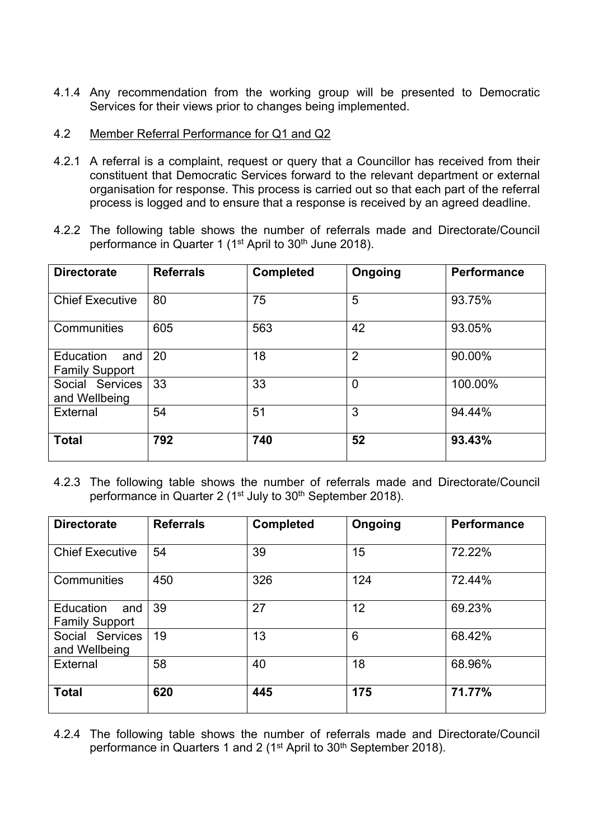4.1.4 Any recommendation from the working group will be presented to Democratic Services for their views prior to changes being implemented.

### 4.2 Member Referral Performance for Q1 and Q2

- 4.2.1 A referral is a complaint, request or query that a Councillor has received from their constituent that Democratic Services forward to the relevant department or external organisation for response. This process is carried out so that each part of the referral process is logged and to ensure that a response is received by an agreed deadline.
- 4.2.2 The following table shows the number of referrals made and Directorate/Council performance in Quarter 1 (1<sup>st</sup> April to 30<sup>th</sup> June 2018).

| <b>Directorate</b>                        | <b>Referrals</b> | <b>Completed</b> | Ongoing        | <b>Performance</b> |
|-------------------------------------------|------------------|------------------|----------------|--------------------|
| <b>Chief Executive</b>                    | 80               | 75               | 5              | 93.75%             |
| Communities                               | 605              | 563              | 42             | 93.05%             |
| Education<br>and<br><b>Family Support</b> | 20               | 18               | $\overline{2}$ | 90.00%             |
| Social Services<br>and Wellbeing          | 33               | 33               | $\overline{0}$ | 100.00%            |
| External                                  | 54               | 51               | 3              | 94.44%             |
| <b>Total</b>                              | 792              | 740              | 52             | 93.43%             |

4.2.3 The following table shows the number of referrals made and Directorate/Council performance in Quarter 2 (1<sup>st</sup> July to 30<sup>th</sup> September 2018).

| <b>Directorate</b>                        | <b>Referrals</b> | <b>Completed</b> | Ongoing | <b>Performance</b> |
|-------------------------------------------|------------------|------------------|---------|--------------------|
| <b>Chief Executive</b>                    | 54               | 39               | 15      | 72.22%             |
| Communities                               | 450              | 326              | 124     | 72.44%             |
| Education<br>and<br><b>Family Support</b> | 39               | 27               | 12      | 69.23%             |
| Social Services<br>and Wellbeing          | 19               | 13               | 6       | 68.42%             |
| External                                  | 58               | 40               | 18      | 68.96%             |
| <b>Total</b>                              | 620              | 445              | 175     | 71.77%             |

4.2.4 The following table shows the number of referrals made and Directorate/Council performance in Quarters 1 and 2 (1<sup>st</sup> April to 30<sup>th</sup> September 2018).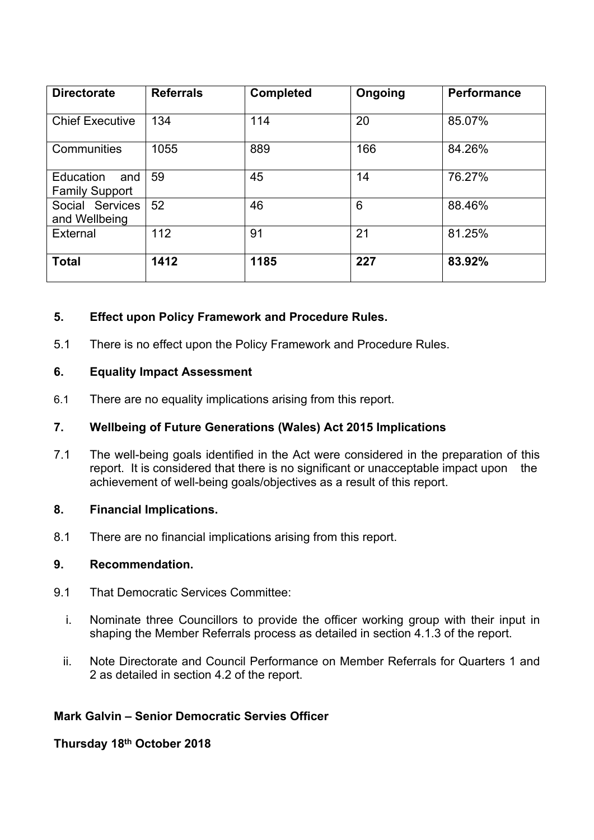| <b>Directorate</b>                        | <b>Referrals</b> | <b>Completed</b> | Ongoing | <b>Performance</b> |
|-------------------------------------------|------------------|------------------|---------|--------------------|
| <b>Chief Executive</b>                    | 134              | 114              | 20      | 85.07%             |
| Communities                               | 1055             | 889              | 166     | 84.26%             |
| Education<br>and<br><b>Family Support</b> | 59               | 45               | 14      | 76.27%             |
| Social Services<br>and Wellbeing          | 52               | 46               | 6       | 88.46%             |
| External                                  | 112              | 91               | 21      | 81.25%             |
| <b>Total</b>                              | 1412             | 1185             | 227     | 83.92%             |

# **5. Effect upon Policy Framework and Procedure Rules.**

5.1 There is no effect upon the Policy Framework and Procedure Rules.

### **6. Equality Impact Assessment**

6.1 There are no equality implications arising from this report.

### **7. Wellbeing of Future Generations (Wales) Act 2015 Implications**

7.1 The well-being goals identified in the Act were considered in the preparation of this report. It is considered that there is no significant or unacceptable impact upon the achievement of well-being goals/objectives as a result of this report.

## **8. Financial Implications.**

8.1 There are no financial implications arising from this report.

## **9. Recommendation.**

- 9.1 That Democratic Services Committee:
	- i. Nominate three Councillors to provide the officer working group with their input in shaping the Member Referrals process as detailed in section 4.1.3 of the report.
	- ii. Note Directorate and Council Performance on Member Referrals for Quarters 1 and 2 as detailed in section 4.2 of the report.

## **Mark Galvin – Senior Democratic Servies Officer**

**Thursday 18th October 2018**